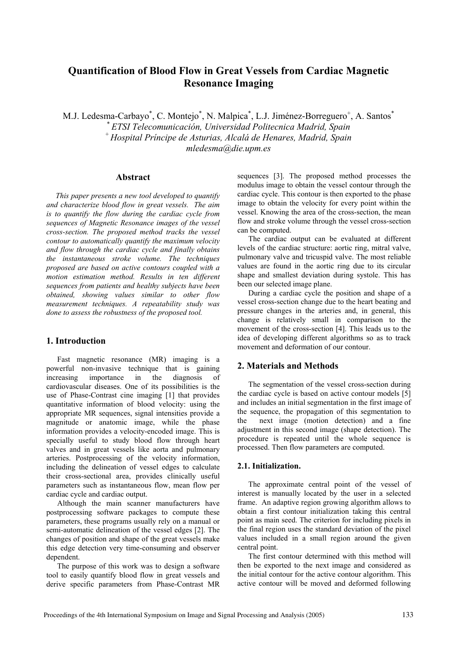# **Quantification of Blood Flow in Great Vessels from Cardiac Magnetic Resonance Imaging**

M.J. Ledesma-Carbayo<sup>\*</sup>, C. Montejo<sup>\*</sup>, N. Malpica<sup>\*</sup>, L.J. Jiménez-Borreguero<sup>+</sup>, A. Santos<sup>\*</sup> \* *ETSI Telecomunicación, Universidad Politecnica Madrid, Spain*  <sup>+</sup>*Hospital Príncipe de Asturias, Alcalá de Henares, Madrid, Spain mledesma@die.upm.es* 

### **Abstract**

*This paper presents a new tool developed to quantify and characterize blood flow in great vessels. The aim is to quantify the flow during the cardiac cycle from sequences of Magnetic Resonance images of the vessel cross-section. The proposed method tracks the vessel contour to automatically quantify the maximum velocity and flow through the cardiac cycle and finally obtains the instantaneous stroke volume. The techniques proposed are based on active contours coupled with a motion estimation method. Results in ten different sequences from patients and healthy subjects have been obtained, showing values similar to other flow measurement techniques. A repeatability study was done to assess the robustness of the proposed tool.* 

# **1. Introduction**

Fast magnetic resonance (MR) imaging is a powerful non-invasive technique that is gaining increasing importance in the diagnosis of cardiovascular diseases. One of its possibilities is the use of Phase-Contrast cine imaging [1] that provides quantitative information of blood velocity: using the appropriate MR sequences, signal intensities provide a magnitude or anatomic image, while the phase information provides a velocity-encoded image. This is specially useful to study blood flow through heart valves and in great vessels like aorta and pulmonary arteries. Postprocessing of the velocity information, including the delineation of vessel edges to calculate their cross-sectional area, provides clinically useful parameters such as instantaneous flow, mean flow per cardiac cycle and cardiac output.

Although the main scanner manufacturers have postprocessing software packages to compute these parameters, these programs usually rely on a manual or semi-automatic delineation of the vessel edges [2]. The changes of position and shape of the great vessels make this edge detection very time-consuming and observer dependent.

The purpose of this work was to design a software tool to easily quantify blood flow in great vessels and derive specific parameters from Phase-Contrast MR sequences [3]. The proposed method processes the modulus image to obtain the vessel contour through the cardiac cycle. This contour is then exported to the phase image to obtain the velocity for every point within the vessel. Knowing the area of the cross-section, the mean flow and stroke volume through the vessel cross-section can be computed.

The cardiac output can be evaluated at different levels of the cardiac structure: aortic ring, mitral valve, pulmonary valve and tricuspid valve. The most reliable values are found in the aortic ring due to its circular shape and smallest deviation during systole. This has been our selected image plane.

During a cardiac cycle the position and shape of a vessel cross-section change due to the heart beating and pressure changes in the arteries and, in general, this change is relatively small in comparison to the movement of the cross-section [4]. This leads us to the idea of developing different algorithms so as to track movement and deformation of our contour.

# **2. Materials and Methods**

The segmentation of the vessel cross-section during the cardiac cycle is based on active contour models [5] and includes an initial segmentation in the first image of the sequence, the propagation of this segmentation to the next image (motion detection) and a fine adjustment in this second image (shape detection). The procedure is repeated until the whole sequence is processed. Then flow parameters are computed.

### **2.1. Initialization.**

The approximate central point of the vessel of interest is manually located by the user in a selected frame. An adaptive region growing algorithm allows to obtain a first contour initialization taking this central point as main seed. The criterion for including pixels in the final region uses the standard deviation of the pixel values included in a small region around the given central point.

The first contour determined with this method will then be exported to the next image and considered as the initial contour for the active contour algorithm. This active contour will be moved and deformed following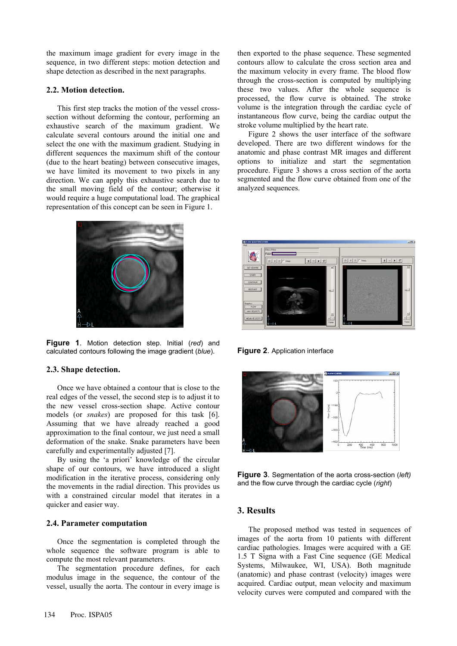the maximum image gradient for every image in the sequence, in two different steps: motion detection and shape detection as described in the next paragraphs.

### **2.2. Motion detection.**

This first step tracks the motion of the vessel crosssection without deforming the contour, performing an exhaustive search of the maximum gradient. We calculate several contours around the initial one and select the one with the maximum gradient. Studying in different sequences the maximum shift of the contour (due to the heart beating) between consecutive images, we have limited its movement to two pixels in any direction. We can apply this exhaustive search due to the small moving field of the contour; otherwise it would require a huge computational load. The graphical representation of this concept can be seen in Figure 1.



**Figure 1**. Motion detection step. Initial (*red*) and calculated contours following the image gradient (*blue*).

#### **2.3. Shape detection.**

Once we have obtained a contour that is close to the real edges of the vessel, the second step is to adjust it to the new vessel cross-section shape. Active contour models (or *snakes*) are proposed for this task [6]. Assuming that we have already reached a good approximation to the final contour, we just need a small deformation of the snake. Snake parameters have been carefully and experimentally adjusted [7].

By using the 'a priori' knowledge of the circular shape of our contours, we have introduced a slight modification in the iterative process, considering only the movements in the radial direction. This provides us with a constrained circular model that iterates in a quicker and easier way.

#### **2.4. Parameter computation**

Once the segmentation is completed through the whole sequence the software program is able to compute the most relevant parameters.

The segmentation procedure defines, for each modulus image in the sequence, the contour of the vessel, usually the aorta. The contour in every image is then exported to the phase sequence. These segmented contours allow to calculate the cross section area and the maximum velocity in every frame. The blood flow through the cross-section is computed by multiplying these two values. After the whole sequence is processed, the flow curve is obtained. The stroke volume is the integration through the cardiac cycle of instantaneous flow curve, being the cardiac output the stroke volume multiplied by the heart rate.

Figure 2 shows the user interface of the software developed. There are two different windows for the anatomic and phase contrast MR images and different options to initialize and start the segmentation procedure. Figure 3 shows a cross section of the aorta segmented and the flow curve obtained from one of the analyzed sequences.



**Figure 2**. Application interface



**Figure 3**. Segmentation of the aorta cross-section (*left)* and the flow curve through the cardiac cycle (*right*)

### **3. Results**

The proposed method was tested in sequences of images of the aorta from 10 patients with different cardiac pathologies. Images were acquired with a GE 1.5 T Signa with a Fast Cine sequence (GE Medical Systems, Milwaukee, WI, USA). Both magnitude (anatomic) and phase contrast (velocity) images were acquired. Cardiac output, mean velocity and maximum velocity curves were computed and compared with the